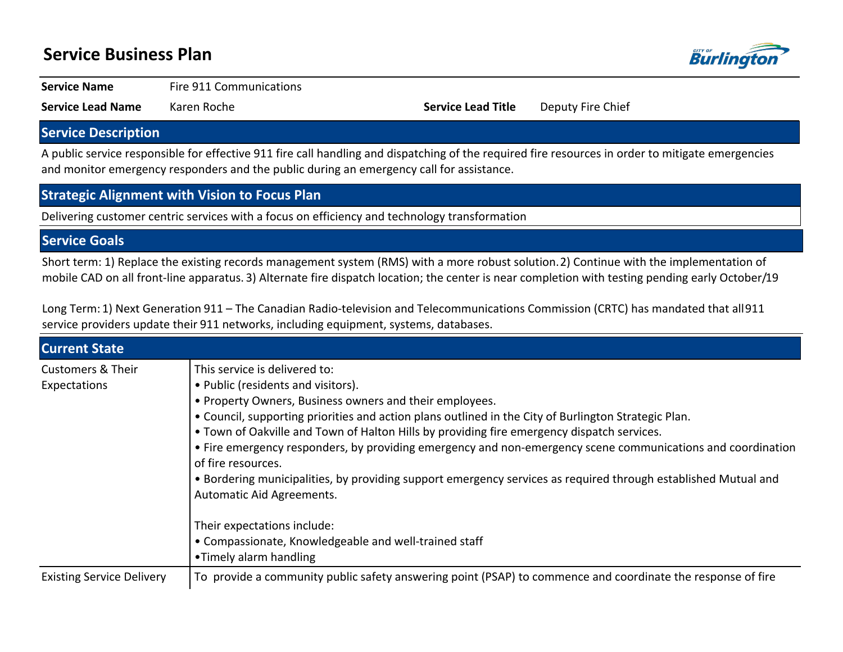# **Service Business Plan**



**Service Name** Fire 911 Communications

**Service Lead Name** Karen Roche **Service Lead Title** Deputy Fire Chief

# **Service Description**

A public service responsible for effective 911 fire call handling and dispatching of the required fire resources in order to mitigate emergencies and monitor emergency responders and the public during an emergency call for assistance.

## **Strategic Alignment with Vision to Focus Plan**

Delivering customer centric services with a focus on efficiency and technology transformation

# **Service Goals**

Short term: 1) Replace the existing records management system (RMS) with a more robust solution. 2) Continue with the implementation of mobile CAD on all front-line apparatus. 3) Alternate fire dispatch location; the center is near completion with testing pending early October/19

Long Term: 1) Next Generation 911 - The Canadian Radio-television and Telecommunications Commission (CRTC) has mandated that all 911 service providers update their 911 networks, including equipment, systems, databases.

| <b>Current State</b>                         |                                                                                                                                                                                                                                                                                                                                                                                                                                                                                                                                                                                                                          |
|----------------------------------------------|--------------------------------------------------------------------------------------------------------------------------------------------------------------------------------------------------------------------------------------------------------------------------------------------------------------------------------------------------------------------------------------------------------------------------------------------------------------------------------------------------------------------------------------------------------------------------------------------------------------------------|
| <b>Customers &amp; Their</b><br>Expectations | This service is delivered to:<br>• Public (residents and visitors).<br>• Property Owners, Business owners and their employees.<br>. Council, supporting priorities and action plans outlined in the City of Burlington Strategic Plan.<br>. Town of Oakville and Town of Halton Hills by providing fire emergency dispatch services.<br>• Fire emergency responders, by providing emergency and non-emergency scene communications and coordination<br>of fire resources.<br>• Bordering municipalities, by providing support emergency services as required through established Mutual and<br>Automatic Aid Agreements. |
|                                              | Their expectations include:<br>• Compassionate, Knowledgeable and well-trained staff<br>•Timely alarm handling                                                                                                                                                                                                                                                                                                                                                                                                                                                                                                           |
| <b>Existing Service Delivery</b>             | To provide a community public safety answering point (PSAP) to commence and coordinate the response of fire                                                                                                                                                                                                                                                                                                                                                                                                                                                                                                              |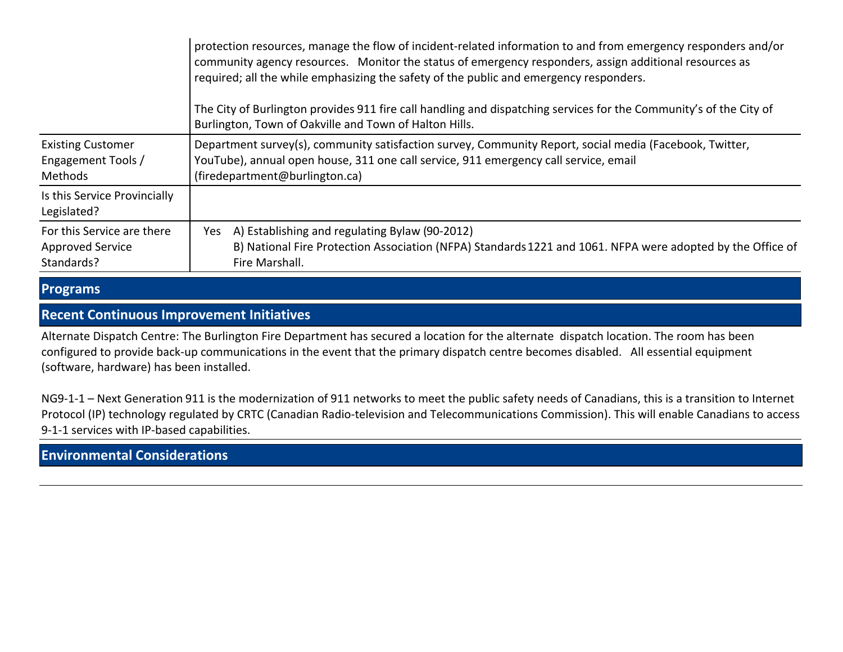|                                                                     | protection resources, manage the flow of incident-related information to and from emergency responders and/or<br>community agency resources. Monitor the status of emergency responders, assign additional resources as<br>required; all the while emphasizing the safety of the public and emergency responders.<br>The City of Burlington provides 911 fire call handling and dispatching services for the Community's of the City of<br>Burlington, Town of Oakville and Town of Halton Hills. |
|---------------------------------------------------------------------|---------------------------------------------------------------------------------------------------------------------------------------------------------------------------------------------------------------------------------------------------------------------------------------------------------------------------------------------------------------------------------------------------------------------------------------------------------------------------------------------------|
| <b>Existing Customer</b><br>Engagement Tools /<br>Methods           | Department survey(s), community satisfaction survey, Community Report, social media (Facebook, Twitter,<br>YouTube), annual open house, 311 one call service, 911 emergency call service, email<br>(firedepartment@burlington.ca)                                                                                                                                                                                                                                                                 |
| Is this Service Provincially<br>Legislated?                         |                                                                                                                                                                                                                                                                                                                                                                                                                                                                                                   |
| For this Service are there<br><b>Approved Service</b><br>Standards? | A) Establishing and regulating Bylaw (90-2012)<br>Yes<br>B) National Fire Protection Association (NFPA) Standards 1221 and 1061. NFPA were adopted by the Office of<br>Fire Marshall.                                                                                                                                                                                                                                                                                                             |

**Programs**

## **Recent Continuous Improvement Initiatives**

Alternate Dispatch Centre: The Burlington Fire Department has secured a location for the alternate dispatch location. The room has been configured to provide back-up communications in the event that the primary dispatch centre becomes disabled. All essential equipment (software, hardware) has been installed.

NG9-1-1 - Next Generation 911 is the modernization of 911 networks to meet the public safety needs of Canadians, this is a transition to Internet Protocol (IP) technology regulated by CRTC (Canadian Radio-television and Telecommunications Commission). This will enable Canadians to access 9-1-1 services with IP-based capabilities.

# **Environmental Considerations**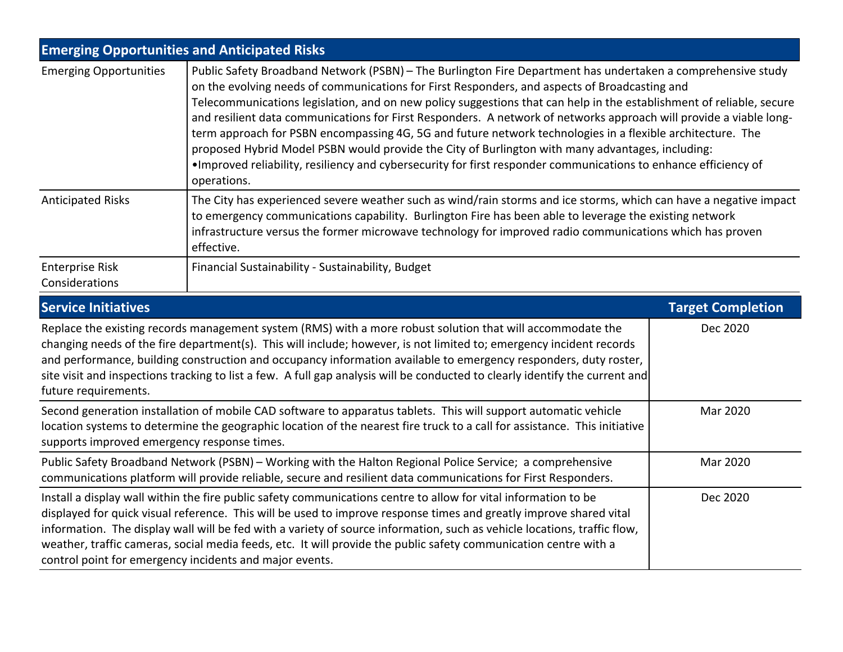| <b>Emerging Opportunities and Anticipated Risks</b> |                                                                                                                                                                                                                                                                                                                                                                                                                                                                                                                                                                                                                                                                                                                                                                                                                  |  |  |  |  |  |
|-----------------------------------------------------|------------------------------------------------------------------------------------------------------------------------------------------------------------------------------------------------------------------------------------------------------------------------------------------------------------------------------------------------------------------------------------------------------------------------------------------------------------------------------------------------------------------------------------------------------------------------------------------------------------------------------------------------------------------------------------------------------------------------------------------------------------------------------------------------------------------|--|--|--|--|--|
| <b>Emerging Opportunities</b>                       | Public Safety Broadband Network (PSBN) – The Burlington Fire Department has undertaken a comprehensive study<br>on the evolving needs of communications for First Responders, and aspects of Broadcasting and<br>Telecommunications legislation, and on new policy suggestions that can help in the establishment of reliable, secure<br>and resilient data communications for First Responders. A network of networks approach will provide a viable long-<br>term approach for PSBN encompassing 4G, 5G and future network technologies in a flexible architecture. The<br>proposed Hybrid Model PSBN would provide the City of Burlington with many advantages, including:<br>• Improved reliability, resiliency and cybersecurity for first responder communications to enhance efficiency of<br>operations. |  |  |  |  |  |
| <b>Anticipated Risks</b>                            | The City has experienced severe weather such as wind/rain storms and ice storms, which can have a negative impact<br>to emergency communications capability. Burlington Fire has been able to leverage the existing network<br>infrastructure versus the former microwave technology for improved radio communications which has proven<br>effective.                                                                                                                                                                                                                                                                                                                                                                                                                                                            |  |  |  |  |  |
| Enterprise Risk<br>Considerations                   | Financial Sustainability - Sustainability, Budget                                                                                                                                                                                                                                                                                                                                                                                                                                                                                                                                                                                                                                                                                                                                                                |  |  |  |  |  |

| <b>Service Initiatives</b>                                                                                                                                                                                                                                                                                                                                                                                                                                                                                                                       | <b>Target Completion</b> |
|--------------------------------------------------------------------------------------------------------------------------------------------------------------------------------------------------------------------------------------------------------------------------------------------------------------------------------------------------------------------------------------------------------------------------------------------------------------------------------------------------------------------------------------------------|--------------------------|
| Replace the existing records management system (RMS) with a more robust solution that will accommodate the<br>changing needs of the fire department(s). This will include; however, is not limited to; emergency incident records<br>and performance, building construction and occupancy information available to emergency responders, duty roster,<br>site visit and inspections tracking to list a few. A full gap analysis will be conducted to clearly identify the current and<br>future requirements.                                    | Dec 2020                 |
| Second generation installation of mobile CAD software to apparatus tablets. This will support automatic vehicle<br>location systems to determine the geographic location of the nearest fire truck to a call for assistance. This initiative<br>supports improved emergency response times.                                                                                                                                                                                                                                                      | Mar 2020                 |
| Public Safety Broadband Network (PSBN) - Working with the Halton Regional Police Service; a comprehensive<br>communications platform will provide reliable, secure and resilient data communications for First Responders.                                                                                                                                                                                                                                                                                                                       | Mar 2020                 |
| Install a display wall within the fire public safety communications centre to allow for vital information to be<br>displayed for quick visual reference. This will be used to improve response times and greatly improve shared vital<br>information. The display wall will be fed with a variety of source information, such as vehicle locations, traffic flow,<br>weather, traffic cameras, social media feeds, etc. It will provide the public safety communication centre with a<br>control point for emergency incidents and major events. | Dec 2020                 |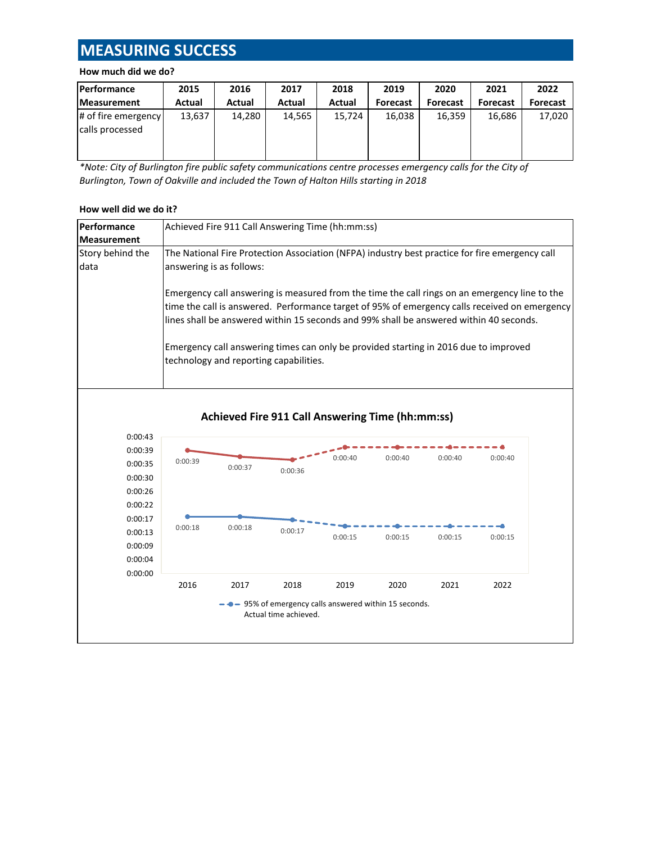# **MEASURING SUCCESS**

### **How much did we do?**

| Performance                            | 2015   | 2016   | 2017   | 2018   | 2019            | 2020            | 2021            | 2022            |
|----------------------------------------|--------|--------|--------|--------|-----------------|-----------------|-----------------|-----------------|
| <b>Measurement</b>                     | Actual | Actual | Actual | Actual | <b>Forecast</b> | <b>Forecast</b> | <b>Forecast</b> | <b>Forecast</b> |
| # of fire emergency<br>calls processed | 13,637 | 14,280 | 14.565 | 15.724 | 16.038          | 16.359          | 16.686          | 17,020          |

*\*Note: City of Burlington fire public safety communications centre processes emergency calls for the City of Burlington, Town of Oakville and included the Town of Halton Hills starting in 2018*

#### **How well did we do it?**

| <b>Performance</b> | Achieved Fire 911 Call Answering Time (hh:mm:ss)                                                                                                                                                                                                                                                                                                                                                                            |  |  |  |  |  |  |
|--------------------|-----------------------------------------------------------------------------------------------------------------------------------------------------------------------------------------------------------------------------------------------------------------------------------------------------------------------------------------------------------------------------------------------------------------------------|--|--|--|--|--|--|
| <b>Measurement</b> |                                                                                                                                                                                                                                                                                                                                                                                                                             |  |  |  |  |  |  |
| Story behind the   | The National Fire Protection Association (NFPA) industry best practice for fire emergency call                                                                                                                                                                                                                                                                                                                              |  |  |  |  |  |  |
| data               | answering is as follows:                                                                                                                                                                                                                                                                                                                                                                                                    |  |  |  |  |  |  |
|                    | Emergency call answering is measured from the time the call rings on an emergency line to the<br>time the call is answered. Performance target of 95% of emergency calls received on emergency<br>llines shall be answered within 15 seconds and 99% shall be answered within 40 seconds.<br>Emergency call answering times can only be provided starting in 2016 due to improved<br>technology and reporting capabilities. |  |  |  |  |  |  |